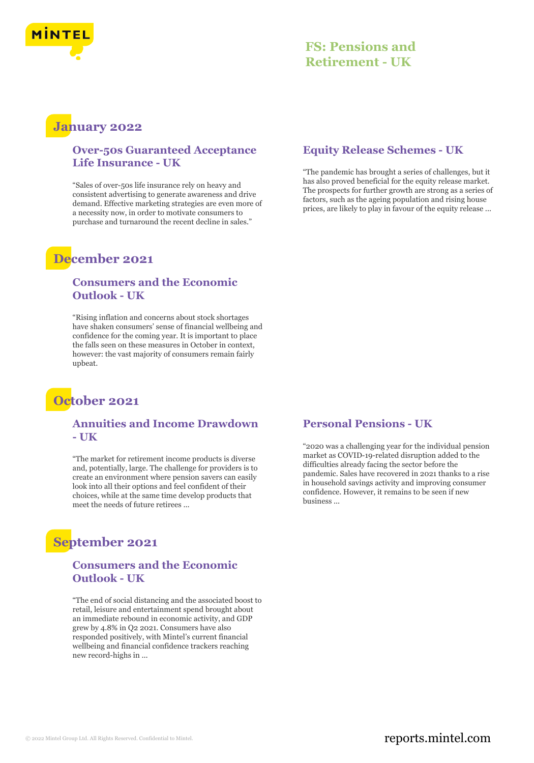

### **FS: Pensions and Retirement - UK**

### **January 2022**

#### **Over-50s Guaranteed Acceptance Life Insurance - UK**

"Sales of over-50s life insurance rely on heavy and consistent advertising to generate awareness and drive demand. Effective marketing strategies are even more of a necessity now, in order to motivate consumers to purchase and turnaround the recent decline in sales."

## **December 2021**

#### **Consumers and the Economic Outlook - UK**

"Rising inflation and concerns about stock shortages have shaken consumers' sense of financial wellbeing and confidence for the coming year. It is important to place the falls seen on these measures in October in context, however: the vast majority of consumers remain fairly upbeat.

## **October 2021**

#### **Annuities and Income Drawdown - UK**

"The market for retirement income products is diverse and, potentially, large. The challenge for providers is to create an environment where pension savers can easily look into all their options and feel confident of their choices, while at the same time develop products that meet the needs of future retirees ...

# **September 2021**

#### **Consumers and the Economic Outlook - UK**

"The end of social distancing and the associated boost to retail, leisure and entertainment spend brought about an immediate rebound in economic activity, and GDP grew by 4.8% in Q2 2021. Consumers have also responded positively, with Mintel's current financial wellbeing and financial confidence trackers reaching new record-highs in ...

#### **Equity Release Schemes - UK**

"The pandemic has brought a series of challenges, but it has also proved beneficial for the equity release market. The prospects for further growth are strong as a series of factors, such as the ageing population and rising house prices, are likely to play in favour of the equity release ...

#### **Personal Pensions - UK**

"2020 was a challenging year for the individual pension market as COVID-19-related disruption added to the difficulties already facing the sector before the pandemic. Sales have recovered in 2021 thanks to a rise in household savings activity and improving consumer confidence. However, it remains to be seen if new business ...